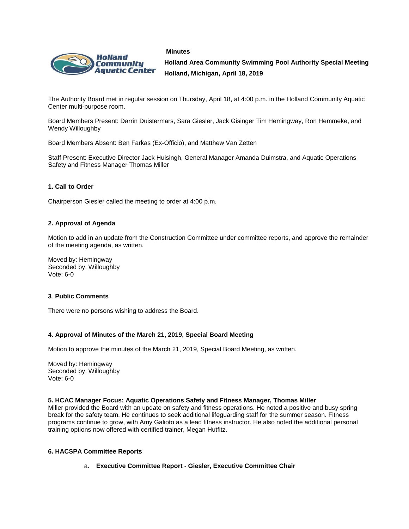



**Holland Area Community Swimming Pool Authority Special Meeting Holland, Michigan, April 18, 2019**

The Authority Board met in regular session on Thursday, April 18, at 4:00 p.m. in the Holland Community Aquatic Center multi-purpose room.

Board Members Present: Darrin Duistermars, Sara Giesler, Jack Gisinger Tim Hemingway, Ron Hemmeke, and Wendy Willoughby

Board Members Absent: Ben Farkas (Ex-Officio), and Matthew Van Zetten

Staff Present: Executive Director Jack Huisingh, General Manager Amanda Duimstra, and Aquatic Operations Safety and Fitness Manager Thomas Miller

# **1. Call to Order**

Chairperson Giesler called the meeting to order at 4:00 p.m.

## **2. Approval of Agenda**

Motion to add in an update from the Construction Committee under committee reports, and approve the remainder of the meeting agenda, as written.

Moved by: Hemingway Seconded by: Willoughby Vote: 6-0

## **3**. **Public Comments**

There were no persons wishing to address the Board.

## **4. Approval of Minutes of the March 21, 2019, Special Board Meeting**

Motion to approve the minutes of the March 21, 2019, Special Board Meeting, as written.

Moved by: Hemingway Seconded by: Willoughby Vote: 6-0

## **5. HCAC Manager Focus: Aquatic Operations Safety and Fitness Manager, Thomas Miller**

Miller provided the Board with an update on safety and fitness operations. He noted a positive and busy spring break for the safety team. He continues to seek additional lifeguarding staff for the summer season. Fitness programs continue to grow, with Amy Galioto as a lead fitness instructor. He also noted the additional personal training options now offered with certified trainer, Megan Hutfitz.

## **6. HACSPA Committee Reports**

a. **Executive Committee Report** - **Giesler, Executive Committee Chair**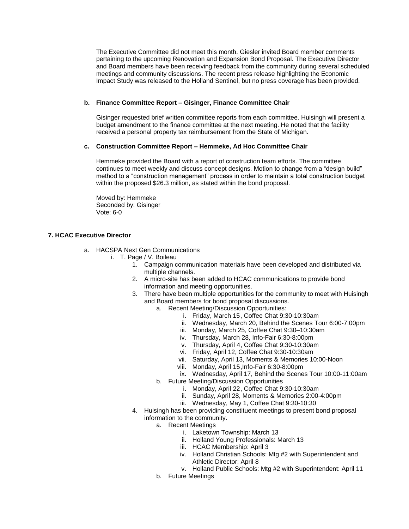The Executive Committee did not meet this month. Giesler invited Board member comments pertaining to the upcoming Renovation and Expansion Bond Proposal. The Executive Director and Board members have been receiving feedback from the community during several scheduled meetings and community discussions. The recent press release highlighting the Economic Impact Study was released to the Holland Sentinel, but no press coverage has been provided.

# **b. Finance Committee Report – Gisinger, Finance Committee Chair**

Gisinger requested brief written committee reports from each committee. Huisingh will present a budget amendment to the finance committee at the next meeting. He noted that the facility received a personal property tax reimbursement from the State of Michigan.

# **c. Construction Committee Report – Hemmeke, Ad Hoc Committee Chair**

Hemmeke provided the Board with a report of construction team efforts. The committee continues to meet weekly and discuss concept designs. Motion to change from a "design build" method to a "construction management" process in order to maintain a total construction budget within the proposed \$26.3 million, as stated within the bond proposal.

Moved by: Hemmeke Seconded by: Gisinger Vote: 6-0

# **7. HCAC Executive Director**

- a. HACSPA Next Gen Communications
	- i. T. Page / V. Boileau
		- 1. Campaign communication materials have been developed and distributed via multiple channels.
		- 2. A micro-site has been added to HCAC communications to provide bond information and meeting opportunities.
		- 3. There have been multiple opportunities for the community to meet with Huisingh and Board members for bond proposal discussions.
			- a. Recent Meeting/Discussion Opportunities:
				- i. Friday, March 15, Coffee Chat 9:30-10:30am
				- ii. Wednesday, March 20, Behind the Scenes Tour 6:00-7:00pm
				- iii. Monday, March 25, Coffee Chat 9:30–10:30am
				- iv. Thursday, March 28, Info-Fair 6:30-8:00pm
				- v. Thursday, April 4, Coffee Chat 9:30-10:30am
				- vi. Friday, April 12, Coffee Chat 9:30-10:30am
				- vii. Saturday, April 13, Moments & Memories 10:00-Noon
				- viii. Monday, April 15,Info-Fair 6:30-8:00pm
				- ix. Wednesday, April 17, Behind the Scenes Tour 10:00-11:00am
			- b. Future Meeting/Discussion Opportunities
				- i. Monday, April 22, Coffee Chat 9:30-10:30am
				- ii. Sunday, April 28, Moments & Memories 2:00-4:00pm
				- iii. Wednesday, May 1, Coffee Chat 9:30-10:30
		- 4. Huisingh has been providing constituent meetings to present bond proposal information to the community.
			- a. Recent Meetings
				- i. Laketown Township: March 13
				- ii. Holland Young Professionals: March 13
				- iii. HCAC Membership: April 3
				- iv. Holland Christian Schools: Mtg #2 with Superintendent and Athletic Director: April 8
				- v. Holland Public Schools: Mtg #2 with Superintendent: April 11
			- b. Future Meetings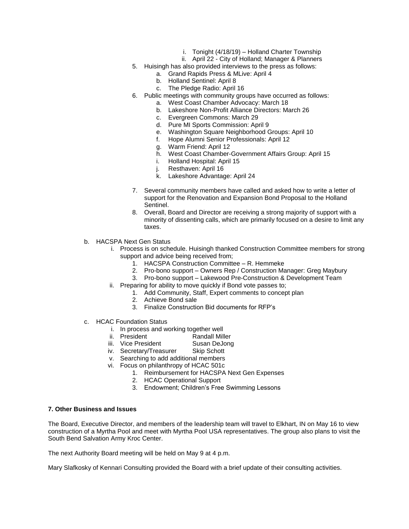- i. Tonight (4/18/19) Holland Charter Township
- ii. April 22 City of Holland; Manager & Planners
- 5. Huisingh has also provided interviews to the press as follows:
	- a. Grand Rapids Press & MLive: April 4
	- b. Holland Sentinel: April 8
	- c. The Pledge Radio: April 16
- 6. Public meetings with community groups have occurred as follows:
	- a. West Coast Chamber Advocacy: March 18
	- b. Lakeshore Non-Profit Alliance Directors: March 26
	- c. Evergreen Commons: March 29
	- d. Pure MI Sports Commission: April 9
	- e. Washington Square Neighborhood Groups: April 10
	- f. Hope Alumni Senior Professionals: April 12
	- g. Warm Friend: April 12
	- h. West Coast Chamber-Government Affairs Group: April 15
	- i. Holland Hospital: April 15
	- j. Resthaven: April 16
	- k. Lakeshore Advantage: April 24
- 7. Several community members have called and asked how to write a letter of support for the Renovation and Expansion Bond Proposal to the Holland Sentinel.
- 8. Overall, Board and Director are receiving a strong majority of support with a minority of dissenting calls, which are primarily focused on a desire to limit any taxes.
- b. HACSPA Next Gen Status
	- i. Process is on schedule. Huisingh thanked Construction Committee members for strong support and advice being received from;
		- 1. HACSPA Construction Committee R. Hemmeke
		- 2. Pro-bono support Owners Rep / Construction Manager: Greg Maybury
		- 3. Pro-bono support Lakewood Pre-Construction & Development Team
	- ii. Preparing for ability to move quickly if Bond vote passes to;
		- 1. Add Community, Staff, Expert comments to concept plan
			- 2. Achieve Bond sale
			- 3. Finalize Construction Bid documents for RFP's
- c. HCAC Foundation Status
	- i. In process and working together well
	- ii. President Randall Miller
	- iii. Vice President Susan DeJong
	- iv. Secretary/Treasurer Skip Schott
	- v. Searching to add additional members
	- vi. Focus on philanthropy of HCAC 501c
		- 1. Reimbursement for HACSPA Next Gen Expenses
			- 2. HCAC Operational Support
			- 3. Endowment; Children's Free Swimming Lessons

# **7. Other Business and Issues**

The Board, Executive Director, and members of the leadership team will travel to Elkhart, IN on May 16 to view construction of a Myrtha Pool and meet with Myrtha Pool USA representatives. The group also plans to visit the South Bend Salvation Army Kroc Center.

The next Authority Board meeting will be held on May 9 at 4 p.m.

Mary Slafkosky of Kennari Consulting provided the Board with a brief update of their consulting activities.